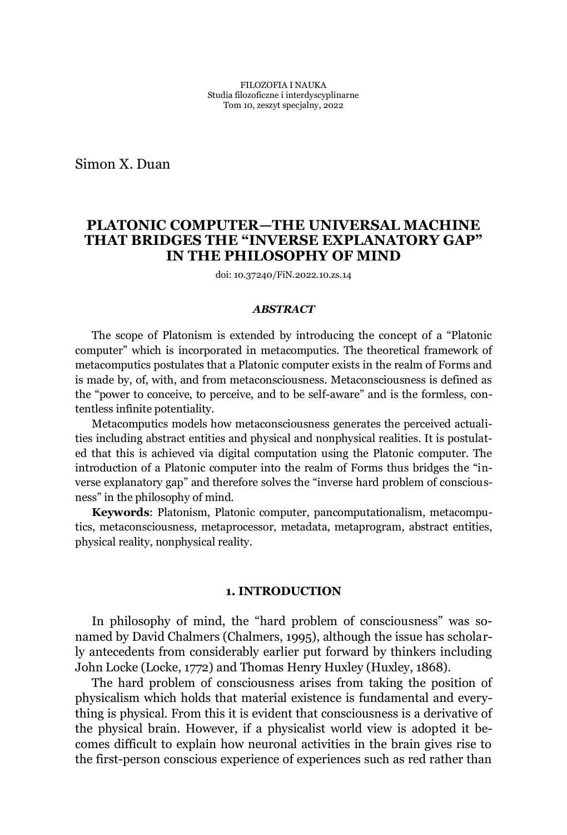Simon X. Duan

# **PLATONIC COMPUTER²THE UNIVERSAL MACHINE THAT BRIDGES THE "INVERSE EXPLANATORY GAP" IN THE PHILOSOPHY OF MIND**

doi: 10.37240/FiN.2022.10.zs.14

#### *ABSTRACT*

The scope of Platonism is extended by introducing the concept of a "Platonic computer" which is incorporated in metacomputics. The theoretical framework of metacomputics postulates that a Platonic computer exists in the realm of Forms and is made by, of, with, and from metaconsciousness. Metaconsciousness is defined as the "power to conceive, to perceive, and to be self-aware" and is the formless, contentless infinite potentiality.

Metacomputics models how metaconsciousness generates the perceived actualities including abstract entities and physical and nonphysical realities. It is postulated that this is achieved via digital computation using the Platonic computer. The introduction of a Platonic computer into the realm of Forms thus bridges the "inverse explanatory gap" and therefore solves the "inverse hard problem of consciousness" in the philosophy of mind.

**Keywords**: Platonism, Platonic computer, pancomputationalism, metacomputics, metaconsciousness, metaprocessor, metadata, metaprogram, abstract entities, physical reality, nonphysical reality.

### **1. INTRODUCTION**

In philosophy of mind, the "hard problem of consciousness" was sonamed by David Chalmers (Chalmers, 1995), although the issue has scholarly antecedents from considerably earlier put forward by thinkers including John Locke (Locke, 1772) and Thomas Henry Huxley (Huxley, 1868).

The hard problem of consciousness arises from taking the position of physicalism which holds that material existence is fundamental and everything is physical. From this it is evident that consciousness is a derivative of the physical brain. However, if a physicalist world view is adopted it becomes difficult to explain how neuronal activities in the brain gives rise to the first-person conscious experience of experiences such as red rather than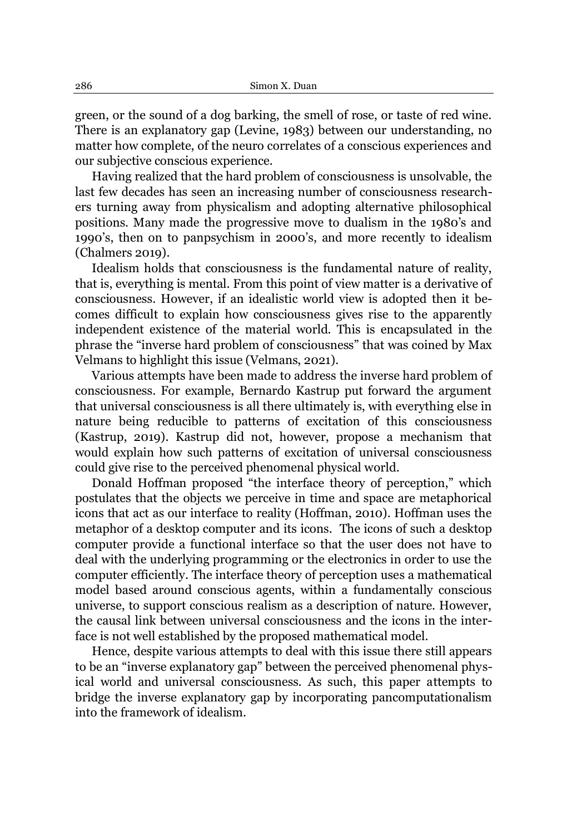green, or the sound of a dog barking, the smell of rose, or taste of red wine. There is an explanatory gap (Levine, 1983) between our understanding, no matter how complete, of the neuro correlates of a conscious experiences and our subjective conscious experience.

Having realized that the hard problem of consciousness is unsolvable, the last few decades has seen an increasing number of consciousness researchers turning away from physicalism and adopting alternative philosophical positions. Many made the progressive move to dualism in the 1980's and 1990's, then on to panpsychism in 2000's, and more recently to idealism (Chalmers 2019).

Idealism holds that consciousness is the fundamental nature of reality, that is, everything is mental. From this point of view matter is a derivative of consciousness. However, if an idealistic world view is adopted then it becomes difficult to explain how consciousness gives rise to the apparently independent existence of the material world. This is encapsulated in the phrase the "inverse hard problem of consciousness" that was coined by Max Velmans to highlight this issue (Velmans, 2021).

Various attempts have been made to address the inverse hard problem of consciousness. For example, Bernardo Kastrup put forward the argument that universal consciousness is all there ultimately is, with everything else in nature being reducible to patterns of excitation of this consciousness (Kastrup, 2019). Kastrup did not, however, propose a mechanism that would explain how such patterns of excitation of universal consciousness could give rise to the perceived phenomenal physical world.

Donald Hoffman proposed "the interface theory of perception," which postulates that the objects we perceive in time and space are metaphorical icons that act as our interface to reality (Hoffman, 2010). Hoffman uses the metaphor of a desktop computer and its icons. The icons of such a desktop computer provide a functional interface so that the user does not have to deal with the underlying programming or the electronics in order to use the computer efficiently. The interface theory of perception uses a mathematical model based around conscious agents, within a fundamentally conscious universe, to support conscious realism as a description of nature. However, the causal link between universal consciousness and the icons in the interface is not well established by the proposed mathematical model.

Hence, despite various attempts to deal with this issue there still appears to be an "inverse explanatory gap" between the perceived phenomenal physical world and universal consciousness. As such, this paper attempts to bridge the inverse explanatory gap by incorporating pancomputationalism into the framework of idealism.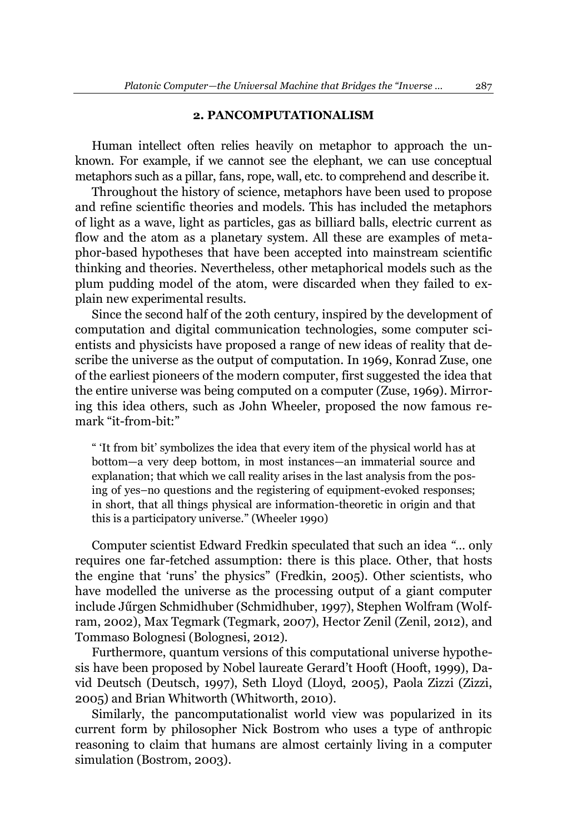#### **2. PANCOMPUTATIONALISM**

Human intellect often relies heavily on metaphor to approach the unknown. For example, if we cannot see the elephant, we can use conceptual metaphors such as a pillar, fans, rope, wall, etc. to comprehend and describe it.

Throughout the history of science, metaphors have been used to propose and refine scientific theories and models. This has included the metaphors of light as a wave, light as particles, gas as billiard balls, electric current as flow and the atom as a planetary system. All these are examples of metaphor-based hypotheses that have been accepted into mainstream scientific thinking and theories. Nevertheless, other metaphorical models such as the plum pudding model of the atom, were discarded when they failed to explain new experimental results.

Since the second half of the 20th century, inspired by the development of computation and digital communication technologies, some computer scientists and physicists have proposed a range of new ideas of reality that describe the universe as the output of computation. In 1969, Konrad Zuse, one of the earliest pioneers of the modern computer, first suggested the idea that the entire universe was being computed on a computer (Zuse, 1969). Mirroring this idea others, such as John Wheeler, proposed the now famous remark "it-from-bit:"

" It from bit' symbolizes the idea that every item of the physical world has at bottom—a very deep bottom, in most instances—an immaterial source and explanation; that which we call reality arises in the last analysis from the posing of yes-no questions and the registering of equipment-evoked responses; in short, that all things physical are information-theoretic in origin and that this is a participatory universe." (Wheeler 1990)

Computer scientist Edward Fredkin speculated that such an idea "... only requires one far-fetched assumption: there is this place. Other, that hosts the engine that 'runs' the physics" (Fredkin, 2005). Other scientists, who have modelled the universe as the processing output of a giant computer include Jűrgen Schmidhuber (Schmidhuber, 1997), Stephen Wolfram (Wolfram, 2002), Max Tegmark (Tegmark, 2007), Hector Zenil (Zenil, 2012), and Tommaso Bolognesi (Bolognesi, 2012).

Furthermore, quantum versions of this computational universe hypothesis have been proposed by Nobel laureate Gerard't Hooft (Hooft, 1999), David Deutsch (Deutsch, 1997), Seth Lloyd (Lloyd, 2005), Paola Zizzi (Zizzi, 2005) and Brian Whitworth (Whitworth, 2010).

Similarly, the pancomputationalist world view was popularized in its current form by philosopher Nick Bostrom who uses a type of anthropic reasoning to claim that humans are almost certainly living in a computer simulation (Bostrom, 2003).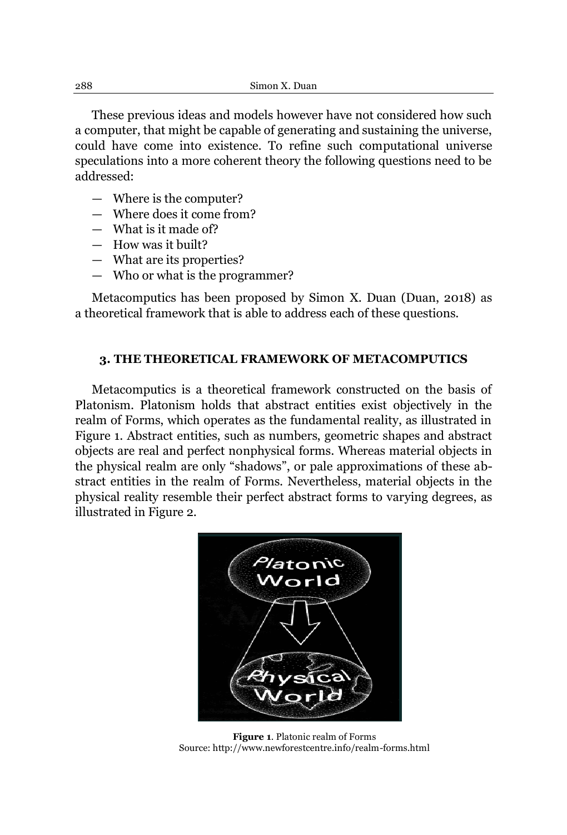These previous ideas and models however have not considered how such a computer, that might be capable of generating and sustaining the universe, could have come into existence. To refine such computational universe speculations into a more coherent theory the following questions need to be addressed:

- $-$  Where is the computer?
- $-$  Where does it come from?
- $-$  What is it made of?
- $-$  How was it built?
- $-$  What are its properties?
- $-$  Who or what is the programmer?

Metacomputics has been proposed by Simon X. Duan (Duan, 2018) as a theoretical framework that is able to address each of these questions.

### **3. THE THEORETICAL FRAMEWORK OF METACOMPUTICS**

Metacomputics is a theoretical framework constructed on the basis of Platonism. Platonism holds that abstract entities exist objectively in the realm of Forms, which operates as the fundamental reality, as illustrated in Figure 1. Abstract entities, such as numbers, geometric shapes and abstract objects are real and perfect nonphysical forms. Whereas material objects in the physical realm are only "shadows", or pale approximations of these abstract entities in the realm of Forms. Nevertheless, material objects in the physical reality resemble their perfect abstract forms to varying degrees, as illustrated in Figure 2.



**Figure 1**. Platonic realm of Forms Source[: http://www.newforestcentre.info/realm-forms.html](http://www.newforestcentre.info/realm-forms.html)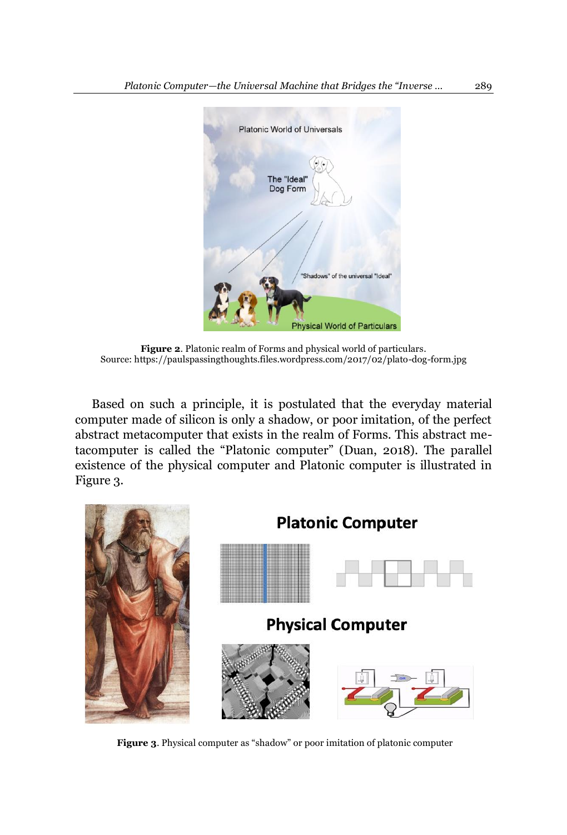

**Figure 2**. Platonic realm of Forms and physical world of particulars. Source[: https://paulspassingthoughts.files.wordpress.com/2017/02/plato-dog-form.jpg](https://paulspassingthoughts.files.wordpress.com/2017/02/plato-dog-form.jpg)

Based on such a principle, it is postulated that the everyday material computer made of silicon is only a shadow, or poor imitation, of the perfect abstract metacomputer that exists in the realm of Forms. This abstract metacomputer is called the "Platonic computer" (Duan, 2018). The parallel existence of the physical computer and Platonic computer is illustrated in Figure 3.



**Figure 3.** Physical computer as "shadow" or poor imitation of platonic computer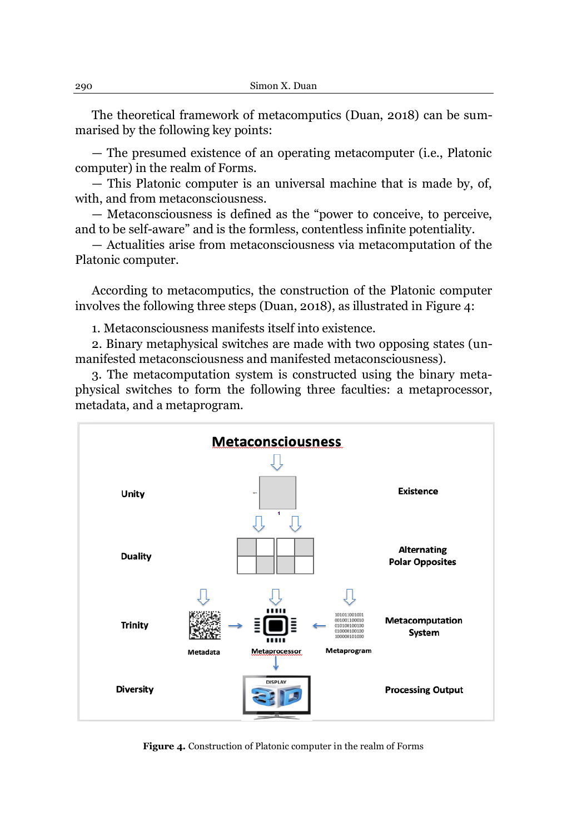The theoretical framework of metacomputics (Duan, 2018) can be summarised by the following key points:

- The presumed existence of an operating metacomputer (i.e., Platonic computer) in the realm of Forms.

- This Platonic computer is an universal machine that is made by, of, with, and from metaconsciousness.

— Metaconsciousness is defined as the "power to conceive, to perceive, and to be self-aware" and is the formless, contentless infinite potentiality.

 $-$  Actualities arise from metaconsciousness via metacomputation of the Platonic computer.

According to metacomputics, the construction of the Platonic computer involves the following three steps (Duan, 2018), as illustrated in Figure 4:

1. Metaconsciousness manifests itself into existence.

2. Binary metaphysical switches are made with two opposing states (unmanifested metaconsciousness and manifested metaconsciousness).

3. The metacomputation system is constructed using the binary metaphysical switches to form the following three faculties: a metaprocessor, metadata, and a metaprogram.



**Figure 4.** Construction of Platonic computer in the realm of Forms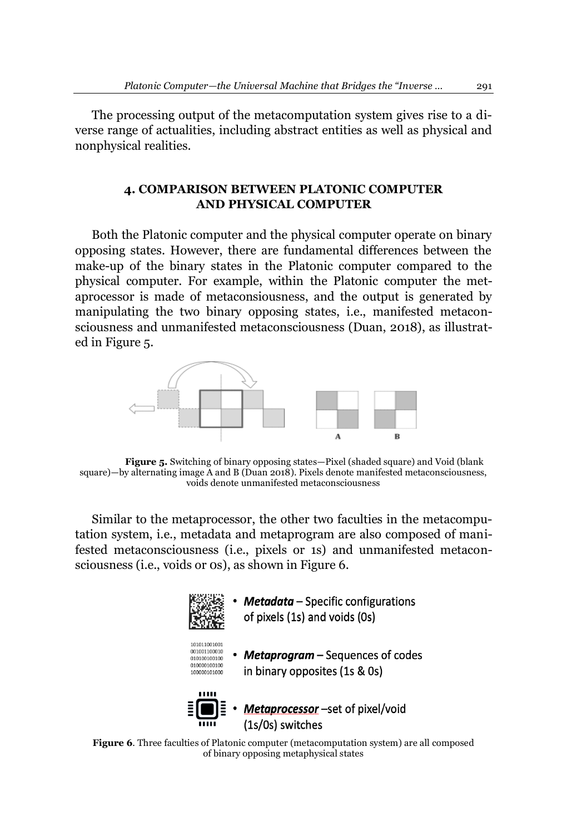The processing output of the metacomputation system gives rise to a diverse range of actualities, including abstract entities as well as physical and nonphysical realities.

## **4. COMPARISON BETWEEN PLATONIC COMPUTER AND PHYSICAL COMPUTER**

Both the Platonic computer and the physical computer operate on binary opposing states. However, there are fundamental differences between the make-up of the binary states in the Platonic computer compared to the physical computer. For example, within the Platonic computer the metaprocessor is made of metaconsiousness, and the output is generated by manipulating the two binary opposing states, i.e., manifested metaconsciousness and unmanifested metaconsciousness (Duan, 2018), as illustrated in Figure 5.



**Figure 5.** Switching of binary opposing states—Pixel (shaded square) and Void (blank square)—by alternating image  $\overline{A}$  and  $\overline{B}$  (Duan 2018). Pixels denote manifested metaconsciousness, voids denote unmanifested metaconsciousness

Similar to the metaprocessor, the other two faculties in the metacomputation system, i.e., metadata and metaprogram are also composed of manifested metaconsciousness (i.e., pixels or 1s) and unmanifested metaconsciousness (i.e., voids or 0s), as shown in Figure 6.



**Metadata** – Specific configurations of pixels (1s) and voids (0s)



• Metaprogram - Sequences of codes in binary opposites (1s & 0s)



• *Metaprocessor* –set of pixel/void<br>(1s/0s) switches

**Figure 6**. Three faculties of Platonic computer (metacomputation system) are all composed of binary opposing metaphysical states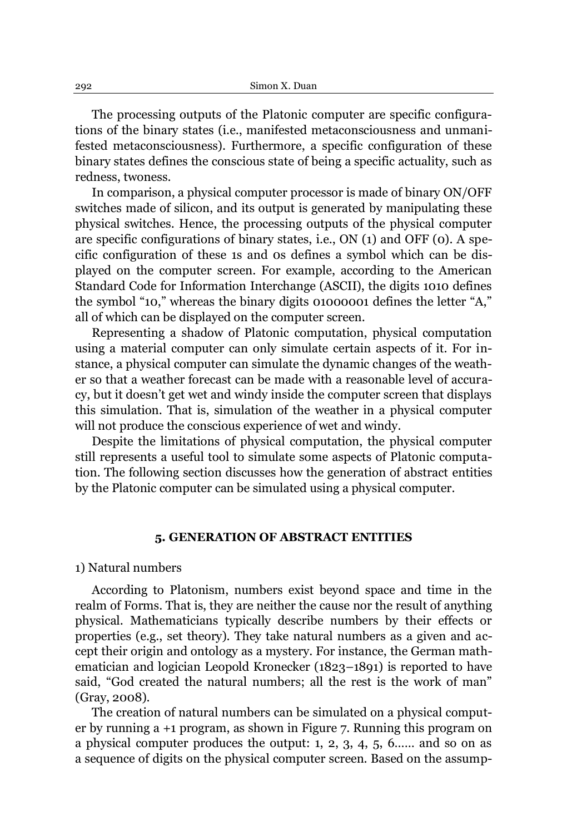The processing outputs of the Platonic computer are specific configurations of the binary states (i.e., manifested metaconsciousness and unmanifested metaconsciousness). Furthermore, a specific configuration of these binary states defines the conscious state of being a specific actuality, such as redness, twoness.

In comparison, a physical computer processor is made of binary ON/OFF switches made of silicon, and its output is generated by manipulating these physical switches. Hence, the processing outputs of the physical computer are specific configurations of binary states, i.e., ON (1) and OFF (0). A specific configuration of these 1s and 0s defines a symbol which can be displayed on the computer screen. For example, according to the American Standard Code for Information Interchange (ASCII), the digits 1010 defines the symbol "10," whereas the binary digits  $01000001$  defines the letter "A," all of which can be displayed on the computer screen.

Representing a shadow of Platonic computation, physical computation using a material computer can only simulate certain aspects of it. For instance, a physical computer can simulate the dynamic changes of the weather so that a weather forecast can be made with a reasonable level of accuracy, but it doesn't get wet and windy inside the computer screen that displays this simulation. That is, simulation of the weather in a physical computer will not produce the conscious experience of wet and windy.

Despite the limitations of physical computation, the physical computer still represents a useful tool to simulate some aspects of Platonic computation. The following section discusses how the generation of abstract entities by the Platonic computer can be simulated using a physical computer.

#### **5. GENERATION OF ABSTRACT ENTITIES**

#### 1) Natural numbers

According to Platonism, numbers exist beyond space and time in the realm of Forms. That is, they are neither the cause nor the result of anything physical. Mathematicians typically describe numbers by their effects or properties (e.g., set theory). They take natural numbers as a given and accept their origin and ontology as a mystery. For instance, the German mathematician and logician Leopold Kronecker (1823–1891) is reported to have said, "God created the natural numbers; all the rest is the work of man" (Gray, 2008).

The creation of natural numbers can be simulated on a physical computer by running a +1 program, as shown in Figure 7. Running this program on a physical computer produces the output: 1, 2, 3, 4, 5, 6...... and so on as a sequence of digits on the physical computer screen. Based on the assump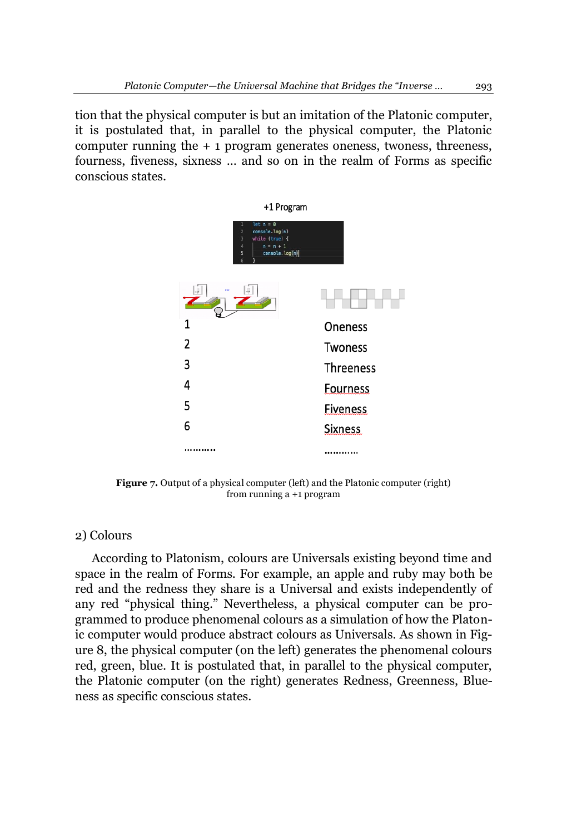tion that the physical computer is but an imitation of the Platonic computer, it is postulated that, in parallel to the physical computer, the Platonic computer running the  $+1$  program generates oneness, twoness, threeness, fourness, fiveness, sixness ... and so on in the realm of Forms as specific conscious states.



**Figure 7.** Output of a physical computer (left) and the Platonic computer (right) from running a +1 program

### 2) Colours

According to Platonism, colours are Universals existing beyond time and space in the realm of Forms. For example, an apple and ruby may both be red and the redness they share is a Universal and exists independently of any red "physical thing." Nevertheless, a physical computer can be programmed to produce phenomenal colours as a simulation of how the Platonic computer would produce abstract colours as Universals. As shown in Figure 8, the physical computer (on the left) generates the phenomenal colours red, green, blue. It is postulated that, in parallel to the physical computer, the Platonic computer (on the right) generates Redness, Greenness, Blueness as specific conscious states.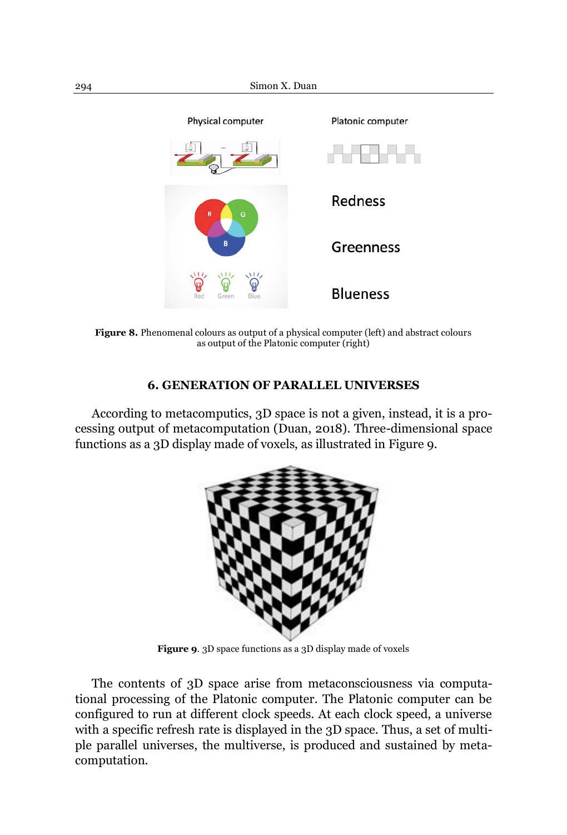

**Figure 8.** Phenomenal colours as output of a physical computer (left) and abstract colours as output of the Platonic computer (right)

## **6. GENERATION OF PARALLEL UNIVERSES**

According to metacomputics, 3D space is not a given, instead, it is a processing output of metacomputation (Duan, 2018). Three-dimensional space functions as a 3D display made of voxels, as illustrated in Figure 9.



**Figure 9**. 3D space functions as a 3D display made of voxels

The contents of 3D space arise from metaconsciousness via computational processing of the Platonic computer. The Platonic computer can be configured to run at different clock speeds. At each clock speed, a universe with a specific refresh rate is displayed in the 3D space. Thus, a set of multiple parallel universes, the multiverse, is produced and sustained by metacomputation.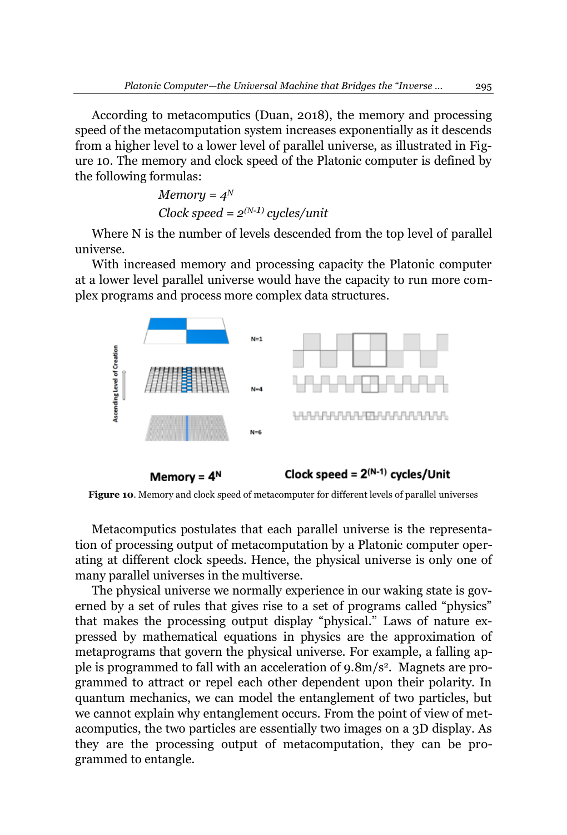According to metacomputics (Duan, 2018), the memory and processing speed of the metacomputation system increases exponentially as it descends from a higher level to a lower level of parallel universe, as illustrated in Figure 10. The memory and clock speed of the Platonic computer is defined by the following formulas:

> *Memory = 4N Clock speed = 2(N-1) cycles/unit*

Where N is the number of levels descended from the top level of parallel universe.

With increased memory and processing capacity the Platonic computer at a lower level parallel universe would have the capacity to run more complex programs and process more complex data structures.



**Figure 10**. Memory and clock speed of metacomputer for different levels of parallel universes

Metacomputics postulates that each parallel universe is the representation of processing output of metacomputation by a Platonic computer operating at different clock speeds. Hence, the physical universe is only one of many parallel universes in the multiverse.

The physical universe we normally experience in our waking state is governed by a set of rules that gives rise to a set of programs called "physics" that makes the processing output display "physical." Laws of nature expressed by mathematical equations in physics are the approximation of metaprograms that govern the physical universe. For example, a falling apple is programmed to fall with an acceleration of 9.8m/s2. Magnets are programmed to attract or repel each other dependent upon their polarity. In quantum mechanics, we can model the entanglement of two particles, but we cannot explain why entanglement occurs. From the point of view of metacomputics, the two particles are essentially two images on a 3D display. As they are the processing output of metacomputation, they can be programmed to entangle.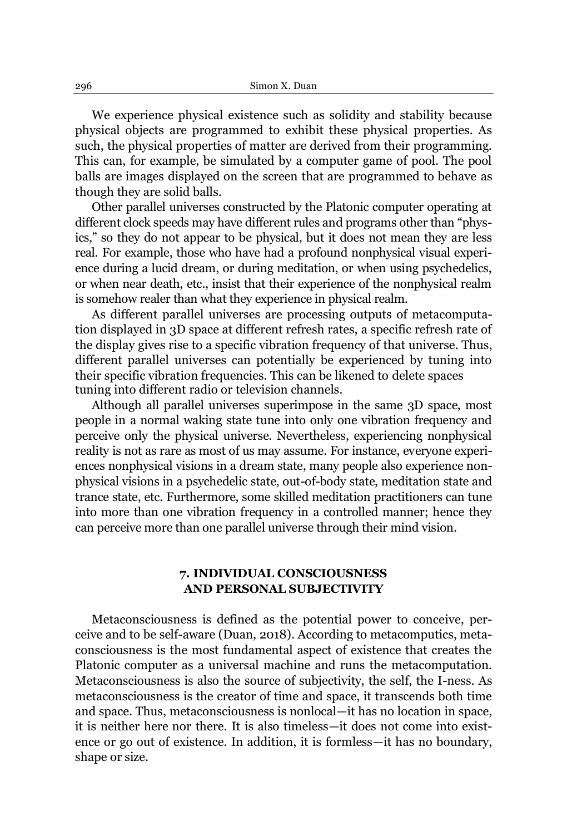We experience physical existence such as solidity and stability because physical objects are programmed to exhibit these physical properties. As such, the physical properties of matter are derived from their programming. This can, for example, be simulated by a computer game of pool. The pool balls are images displayed on the screen that are programmed to behave as though they are solid balls.

Other parallel universes constructed by the Platonic computer operating at different clock speeds may have different rules and programs other than "physics," so they do not appear to be physical, but it does not mean they are less real. For example, those who have had a profound nonphysical visual experience during a lucid dream, or during meditation, or when using psychedelics, or when near death, etc., insist that their experience of the nonphysical realm is somehow realer than what they experience in physical realm.

As different parallel universes are processing outputs of metacomputation displayed in 3D space at different refresh rates, a specific refresh rate of the display gives rise to a specific vibration frequency of that universe. Thus, different parallel universes can potentially be experienced by tuning into their specific vibration frequencies. This can be likened to delete spaces tuning into different radio or television channels.

Although all parallel universes superimpose in the same 3D space, most people in a normal waking state tune into only one vibration frequency and perceive only the physical universe. Nevertheless, experiencing nonphysical reality is not as rare as most of us may assume. For instance, everyone experiences nonphysical visions in a dream state, many people also experience nonphysical visions in a psychedelic state, out-of-body state, meditation state and trance state, etc. Furthermore, some skilled meditation practitioners can tune into more than one vibration frequency in a controlled manner; hence they can perceive more than one parallel universe through their mind vision.

## **7. INDIVIDUAL CONSCIOUSNESS AND PERSONAL SUBJECTIVITY**

Metaconsciousness is defined as the potential power to conceive, perceive and to be self-aware (Duan, 2018). According to metacomputics, metaconsciousness is the most fundamental aspect of existence that creates the Platonic computer as a universal machine and runs the metacomputation. Metaconsciousness is also the source of subjectivity, the self, the I-ness. As metaconsciousness is the creator of time and space, it transcends both time and space. Thus, metaconsciousness is nonlocal—it has no location in space, it is neither here nor there. It is also timeless—it does not come into existence or go out of existence. In addition, it is formless—it has no boundary, shape or size.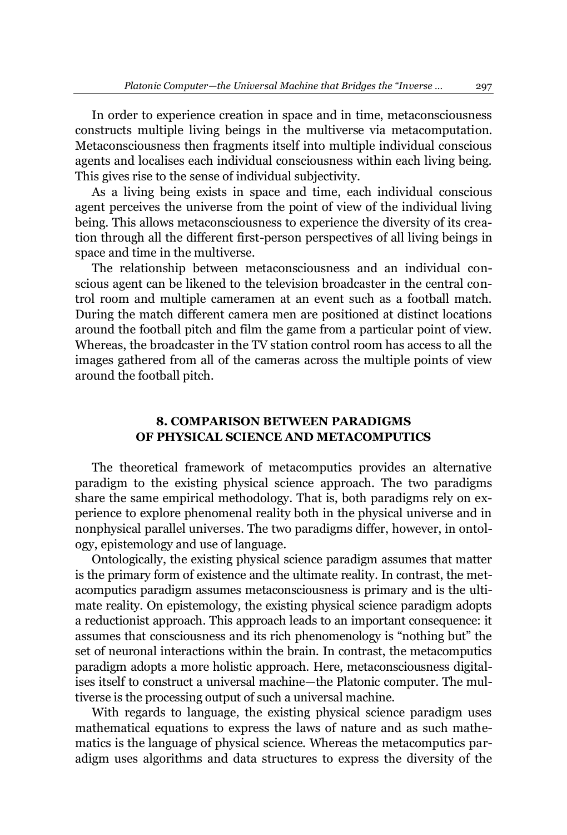In order to experience creation in space and in time, metaconsciousness constructs multiple living beings in the multiverse via metacomputation. Metaconsciousness then fragments itself into multiple individual conscious agents and localises each individual consciousness within each living being. This gives rise to the sense of individual subjectivity.

As a living being exists in space and time, each individual conscious agent perceives the universe from the point of view of the individual living being. This allows metaconsciousness to experience the diversity of its creation through all the different first-person perspectives of all living beings in space and time in the multiverse.

The relationship between metaconsciousness and an individual conscious agent can be likened to the television broadcaster in the central control room and multiple cameramen at an event such as a football match. During the match different camera men are positioned at distinct locations around the football pitch and film the game from a particular point of view. Whereas, the broadcaster in the TV station control room has access to all the images gathered from all of the cameras across the multiple points of view around the football pitch.

## **8. COMPARISON BETWEEN PARADIGMS OF PHYSICAL SCIENCE AND METACOMPUTICS**

The theoretical framework of metacomputics provides an alternative paradigm to the existing physical science approach. The two paradigms share the same empirical methodology. That is, both paradigms rely on experience to explore phenomenal reality both in the physical universe and in nonphysical parallel universes. The two paradigms differ, however, in ontology, epistemology and use of language.

Ontologically, the existing physical science paradigm assumes that matter is the primary form of existence and the ultimate reality. In contrast, the metacomputics paradigm assumes metaconsciousness is primary and is the ultimate reality. On epistemology, the existing physical science paradigm adopts a reductionist approach. This approach leads to an important consequence: it assumes that consciousness and its rich phenomenology is "nothing but" the set of neuronal interactions within the brain. In contrast, the metacomputics paradigm adopts a more holistic approach. Here, metaconsciousness digitalises itself to construct a universal machine—the Platonic computer. The multiverse is the processing output of such a universal machine.

With regards to language, the existing physical science paradigm uses mathematical equations to express the laws of nature and as such mathematics is the language of physical science. Whereas the metacomputics paradigm uses algorithms and data structures to express the diversity of the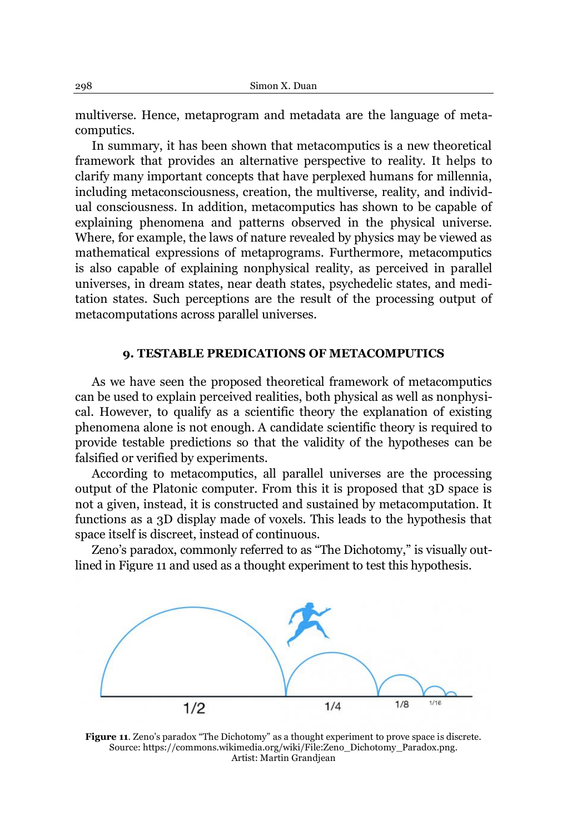multiverse. Hence, metaprogram and metadata are the language of metacomputics.

In summary, it has been shown that metacomputics is a new theoretical framework that provides an alternative perspective to reality. It helps to clarify many important concepts that have perplexed humans for millennia, including metaconsciousness, creation, the multiverse, reality, and individual consciousness. In addition, metacomputics has shown to be capable of explaining phenomena and patterns observed in the physical universe. Where, for example, the laws of nature revealed by physics may be viewed as mathematical expressions of metaprograms. Furthermore, metacomputics is also capable of explaining nonphysical reality, as perceived in parallel universes, in dream states, near death states, psychedelic states, and meditation states. Such perceptions are the result of the processing output of metacomputations across parallel universes.

## **9. TESTABLE PREDICATIONS OF METACOMPUTICS**

As we have seen the proposed theoretical framework of metacomputics can be used to explain perceived realities, both physical as well as nonphysical. However, to qualify as a scientific theory the explanation of existing phenomena alone is not enough. A candidate scientific theory is required to provide testable predictions so that the validity of the hypotheses can be falsified or verified by experiments.

According to metacomputics, all parallel universes are the processing output of the Platonic computer. From this it is proposed that 3D space is not a given, instead, it is constructed and sustained by metacomputation. It functions as a 3D display made of voxels. This leads to the hypothesis that space itself is discreet, instead of continuous.

Zeno's paradox, commonly referred to as "The Dichotomy," is visually outlined in Figure 11 and used as a thought experiment to test this hypothesis.



Figure 11. Zeno's paradox "The Dichotomy" as a thought experiment to prove space is discrete. Source: https://commons.wikimedia.org/wiki/File:Zeno\_Dichotomy\_Paradox.png. Artist: Martin Grandjean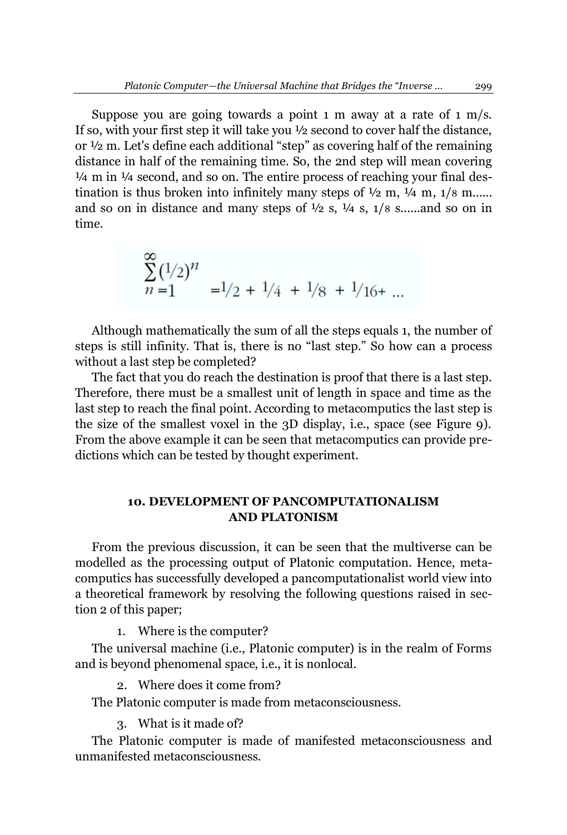Suppose you are going towards a point  $1 \text{ m}$  away at a rate of  $1 \text{ m/s}$ . If so, with your first step it will take you  $\frac{1}{2}$  second to cover half the distance, or  $\frac{1}{2}$  m. Let's define each additional "step" as covering half of the remaining distance in half of the remaining time. So, the 2nd step will mean covering  $\frac{1}{4}$  m in  $\frac{1}{4}$  second, and so on. The entire process of reaching your final destination is thus broken into infinitely many steps of  $\frac{1}{2}$  m,  $\frac{1}{4}$  m,  $\frac{1}{8}$  m...... and so on in distance and many steps of  $\frac{1}{2}$  s,  $\frac{1}{4}$  s,  $\frac{1}{8}$  s......and so on in time.

$$
\sum_{n=1}^{\infty} \frac{(1/2)^n}{n} = 1/2 + \frac{1}{4} + \frac{1}{8} + \frac{1}{16} + \dots
$$

Although mathematically the sum of all the steps equals 1, the number of steps is still infinity. That is, there is no "last step." So how can a process without a last step be completed?

The fact that you do reach the destination is proof that there is a last step. Therefore, there must be a smallest unit of length in space and time as the last step to reach the final point. According to metacomputics the last step is the size of the smallest voxel in the 3D display, i.e., space (see Figure 9). From the above example it can be seen that metacomputics can provide predictions which can be tested by thought experiment.

## **10. DEVELOPMENT OF PANCOMPUTATIONALISM AND PLATONISM**

From the previous discussion, it can be seen that the multiverse can be modelled as the processing output of Platonic computation. Hence, metacomputics has successfully developed a pancomputationalist world view into a theoretical framework by resolving the following questions raised in section 2 of this paper;

1. Where is the computer?

The universal machine (i.e., Platonic computer) is in the realm of Forms and is beyond phenomenal space, i.e., it is nonlocal.

2. Where does it come from?

The Platonic computer is made from metaconsciousness.

3. What is it made of?

The Platonic computer is made of manifested metaconsciousness and unmanifested metaconsciousness.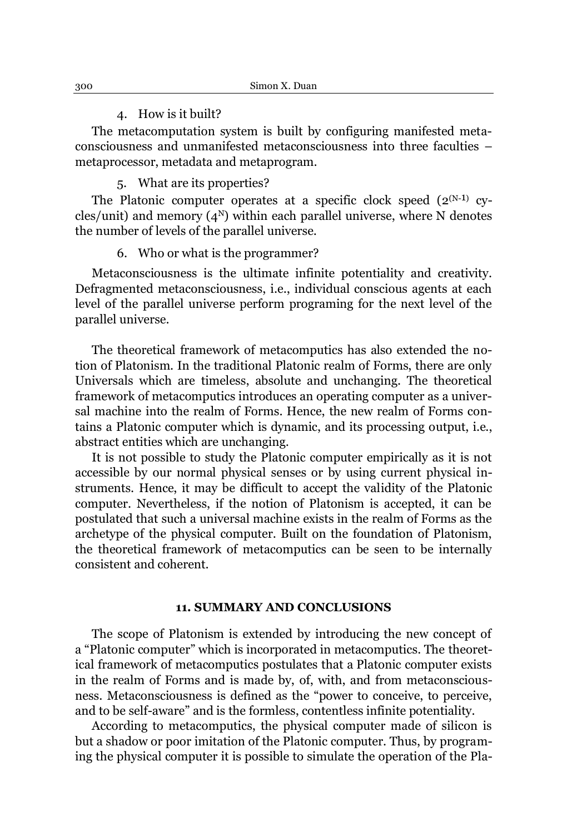#### 4. How is it built?

The metacomputation system is built by configuring manifested metaconsciousness and unmanifested metaconsciousness into three faculties metaprocessor, metadata and metaprogram.

### 5. What are its properties?

The Platonic computer operates at a specific clock speed  $(2^{(N-1)}$  cycles/unit) and memory  $(4^N)$  within each parallel universe, where N denotes the number of levels of the parallel universe.

### 6. Who or what is the programmer?

Metaconsciousness is the ultimate infinite potentiality and creativity. Defragmented metaconsciousness, i.e., individual conscious agents at each level of the parallel universe perform programing for the next level of the parallel universe.

The theoretical framework of metacomputics has also extended the notion of Platonism. In the traditional Platonic realm of Forms, there are only Universals which are timeless, absolute and unchanging. The theoretical framework of metacomputics introduces an operating computer as a universal machine into the realm of Forms. Hence, the new realm of Forms contains a Platonic computer which is dynamic, and its processing output, i.e., abstract entities which are unchanging.

It is not possible to study the Platonic computer empirically as it is not accessible by our normal physical senses or by using current physical instruments. Hence, it may be difficult to accept the validity of the Platonic computer. Nevertheless, if the notion of Platonism is accepted, it can be postulated that such a universal machine exists in the realm of Forms as the archetype of the physical computer. Built on the foundation of Platonism, the theoretical framework of metacomputics can be seen to be internally consistent and coherent.

#### **11. SUMMARY AND CONCLUSIONS**

The scope of Platonism is extended by introducing the new concept of a "Platonic computer" which is incorporated in metacomputics. The theoretical framework of metacomputics postulates that a Platonic computer exists in the realm of Forms and is made by, of, with, and from metaconsciousness. Metaconsciousness is defined as the "power to conceive, to perceive, and to be self-aware" and is the formless, contentless infinite potentiality.

According to metacomputics, the physical computer made of silicon is but a shadow or poor imitation of the Platonic computer. Thus, by programing the physical computer it is possible to simulate the operation of the Pla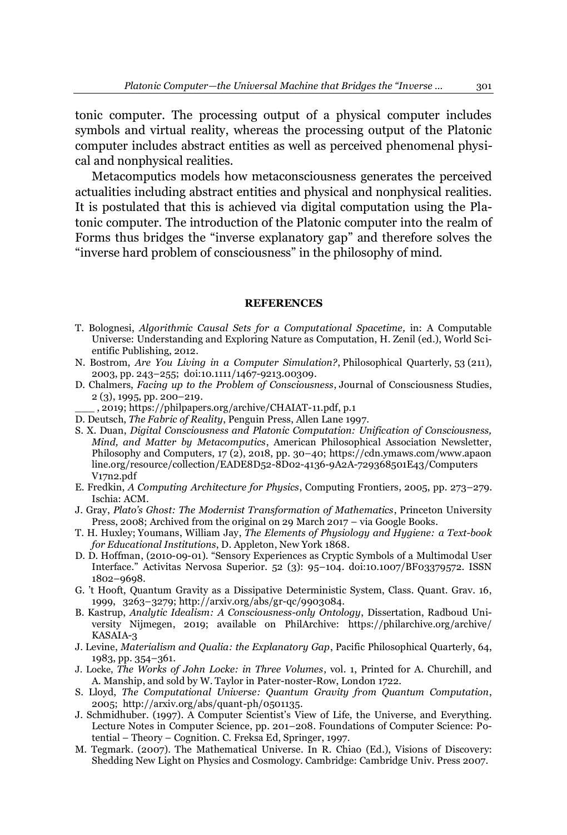tonic computer. The processing output of a physical computer includes symbols and virtual reality, whereas the processing output of the Platonic computer includes abstract entities as well as perceived phenomenal physical and nonphysical realities.

Metacomputics models how metaconsciousness generates the perceived actualities including abstract entities and physical and nonphysical realities. It is postulated that this is achieved via digital computation using the Platonic computer. The introduction of the Platonic computer into the realm of Forms thus bridges the "inverse explanatory gap" and therefore solves the "inverse hard problem of consciousness" in the philosophy of mind.

#### **REFERENCES**

- T. Bolognesi, *Algorithmic Causal Sets for a Computational Spacetime,* in: A Computable Universe: Understanding and Exploring Nature as Computation, H. Zenil (ed.), World Scientific Publishing, 2012.
- N. Bostrom, *[Are You Living in a Computer Simulation?](http://simulation-argument.com/simulation.html)*, Philosophical Quarterly, 53 (211), 2003, pp. 243±255; [doi:](https://en.wikipedia.org/wiki/Doi_(identifier))[10.1111/1467-9213.00309.](https://doi.org/10.1111%2F1467-9213.00309)
- D. [Chalmers,](https://en.wikipedia.org/wiki/David_Chalmers) *[Facing up to the Problem of Consciousness](http://consc.net/papers/facing.pdf)*, [Journal of Consciousness Studies,](https://en.wikipedia.org/wiki/Journal_of_Consciousness_Studies) 2 (3), 1995, pp. 200-219.
	- \_\_\_ , 2019[; https://philpapers.org/archive/CHAIAT-11.pdf,](https://philpapers.org/archive/CHAIAT-11.pdf) p.1
- D. Deutsch, *The Fabric of Reality*, Penguin Press, Allen Lane 1997.
- S. X. Duan, *Digital Consciousness and Platonic Computation: Unification of Consciousness, Mind, and Matter by Metacomputics*, American Philosophical Association Newsletter, Philosophy and Computers, 17 (2), 2018, pp. 30-40; [https://cdn.ymaws.com/www.apaon](https://cdn.ymaws.com/www.apaonline.org/resource/collection/EADE8D52-8D02-4136-9A2A-729368501E43/ComputersV17n2.pdf) [line.org/resource/collection/EADE8D52-8D02-4136-9A2A-729368501E43/Computers](https://cdn.ymaws.com/www.apaonline.org/resource/collection/EADE8D52-8D02-4136-9A2A-729368501E43/ComputersV17n2.pdf) [V17n2.pdf](https://cdn.ymaws.com/www.apaonline.org/resource/collection/EADE8D52-8D02-4136-9A2A-729368501E43/ComputersV17n2.pdf)
- E. Fredkin, *A Computing Architecture for Physics*, Computing Frontiers, 2005, pp. 273–279. Ischia: ACM.
- J. Gray, *Plato's Ghost: The Modernist Transformation of Mathematics*, Princeton University Press, 2008; Archived from the original on 29 March 2017 - via Google Books.
- T. H. [Huxley;](https://en.wikipedia.org/wiki/Thomas_Henry_Huxley) [Youmans, William Jay,](https://en.wikipedia.org/wiki/William_Jay_Youmans) *The Elements of Physiology and Hygiene: a Text-book for Educational Institutions*, D. Appleton, New York 1868.
- D. D. Hoffman, (2010-09-01). "Sensory Experiences as Cryptic Symbols of a Multimodal User Interface." Activitas Nervosa Superior. 52 (3): 95-104. doi:10.1007/BF03379572. ISSN 1802±9698.
- G. 't Hooft, Quantum Gravity as a Dissipative Deterministic System, Class. Quant. Grav. 16, 1999, 3263±3279[; http://arxiv.org/abs/gr-qc/9903084.](http://arxiv.org/abs/gr-qc/9903084)
- B. Kastrup, *Analytic Idealism: A Consciousness-only Ontology*, Dissertation, Radboud University Nijmegen, 2019; available on PhilArchive: [https://philarchive.org/archive/](https://philarchive.org/archive/KASAIA-3) [KASAIA-3](https://philarchive.org/archive/KASAIA-3)
- J. Levine, *Materialism and Qualia: the Explanatory Gap*, Pacific Philosophical Quarterly, 64, 1983, pp. 354-361.
- J. [Locke,](https://en.wikipedia.org/wiki/John_Locke) *The Works of John Locke: in Three Volumes*, vol. 1, Printed for A. Churchill, and A. Manship, and sold by W. Taylor in Pater-noster-Row, London 1722.
- S. Lloyd, *The Computational Universe: Quantum Gravity from Quantum Computation*, 2005; [http://arxiv.org/abs/quant-ph/0501135.](http://arxiv.org/abs/quant-ph/0501135)
- J. Schmidhuber. (1997).  $\overline{A}$  Computer Scientist's View of Life, the Universe, and Everything. Lecture Notes in Computer Science, pp. 201-208. Foundations of Computer Science: Potential - Theory - Cognition. C. Freksa Ed, Springer, 1997.
- M. Tegmark. (2007). The Mathematical Universe. In R. Chiao (Ed.), Visions of Discovery: Shedding New Light on Physics and Cosmology. Cambridge: Cambridge Univ. Press 2007.